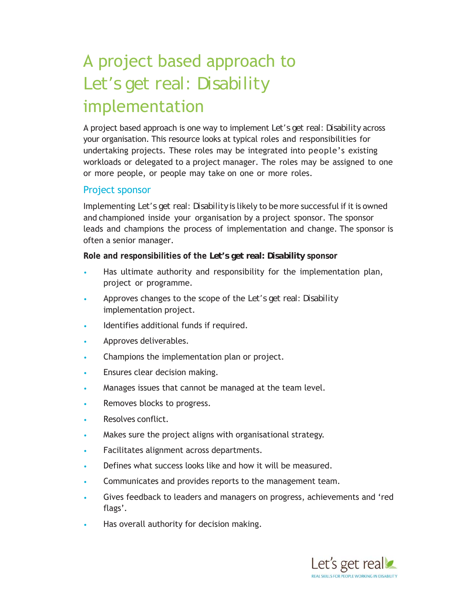# A project based approach to *Let's get real: Disability* implementation

A project based approach is one way to implement *Let's get real: Disability* across your organisation. This resource looks at typical roles and responsibilities for undertaking projects. These roles may be integrated into people's existing workloads or delegated to a project manager. The roles may be assigned to one or more people, or people may take on one or more roles.

#### Project sponsor

Implementing *Let's get real: Disability* is likely to be more successful if it is owned and championed inside your organisation by a project sponsor. The sponsor leads and champions the process of implementation and change. The sponsor is often a senior manager.

**Role and responsibilities of the** *Let's get real: Disability* **sponsor**

- Has ultimate authority and responsibility for the implementation plan, project or programme.
- Approves changes to the scope of the *Let's get real: Disability*  implementation project.
- Identifies additional funds if required.
- Approves deliverables.
- Champions the implementation plan or project.
- Ensures clear decision making.
- Manages issues that cannot be managed at the team level.
- Removes blocks to progress.
- Resolves conflict.
- Makes sure the project aligns with organisational strategy.
- Facilitates alignment across departments.
- Defines what success looks like and how it will be measured.
- Communicates and provides reports to the management team.
- Gives feedback to leaders and managers on progress, achievements and 'red flags'.
- Has overall authority for decision making.

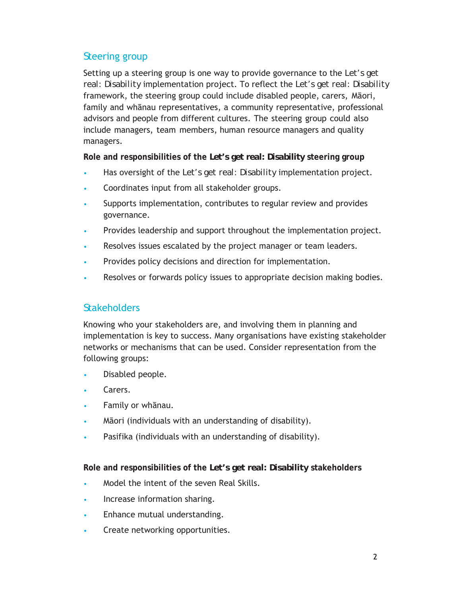## *S*teering group

Setting up a steering group is one way to provide governance to the *Let's get real: Disability* implementation project. To reflect the *Let's get real: Disability* framework, the steering group could include disabled people, carers, Māori, family and whānau representatives, a community representative, professional advisors and people from different cultures. The steering group could also include managers, team members, human resource managers and quality managers.

**Role and responsibilities of the** *Let's get real: Disability* **steering group**

- Has oversight of the *Let's get real: Disability* implementation project.
- Coordinates input from all stakeholder groups.
- Supports implementation, contributes to regular review and provides governance.
- Provides leadership and support throughout the implementation project.
- Resolves issues escalated by the project manager or team leaders.
- Provides policy decisions and direction for implementation.
- Resolves or forwards policy issues to appropriate decision making bodies.

# *S*takeholders

Knowing who your stakeholders are, and involving them in planning and implementation is key to success. Many organisations have existing stakeholder networks or mechanisms that can be used. Consider representation from the following groups:

- Disabled people.
- Carers.
- Family or whānau.
- Māori (individuals with an understanding of disability).
- Pasifika (individuals with an understanding of disability).

**Role and responsibilities of the** *Let's get real: Disability* **stakeholders** 

- Model the intent of the seven Real Skills.
- Increase information sharing.
- Enhance mutual understanding.
- Create networking opportunities.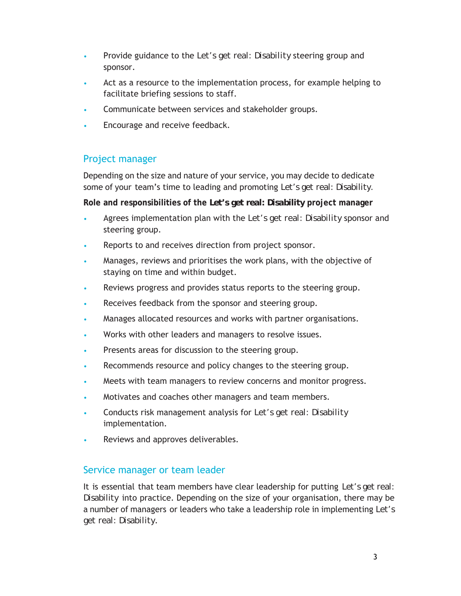- Provide guidance to the *Let's get real: Disability* steering group and sponsor.
- Act as a resource to the implementation process, for example helping to facilitate briefing sessions to staff.
- Communicate between services and stakeholder groups.
- Encourage and receive feedback.

## Project manager

Depending on the size and nature of your service, you may decide to dedicate some of your team's time to leading and promoting *Let's get real: Disability.*

**Role and responsibilities of the** *Let's get real: Disability* **project manager**

- Agrees implementation plan with the *Let's get real: Disability* sponsor and steering group.
- Reports to and receives direction from project sponsor.
- Manages, reviews and prioritises the work plans, with the objective of staying on time and within budget.
- Reviews progress and provides status reports to the steering group.
- Receives feedback from the sponsor and steering group.
- Manages allocated resources and works with partner organisations.
- Works with other leaders and managers to resolve issues.
- Presents areas for discussion to the steering group.
- Recommends resource and policy changes to the steering group.
- Meets with team managers to review concerns and monitor progress.
- Motivates and coaches other managers and team members.
- Conducts risk management analysis for *Let's get real: Disability* implementation.
- Reviews and approves deliverables.

## Service manager or team leader

It is essential that team members have clear leadership for putting *Let's get real: Disability* into practice. Depending on the size of your organisation, there may be a number of managers or leaders who take a leadership role in implementing *Let's get real: Disability*.